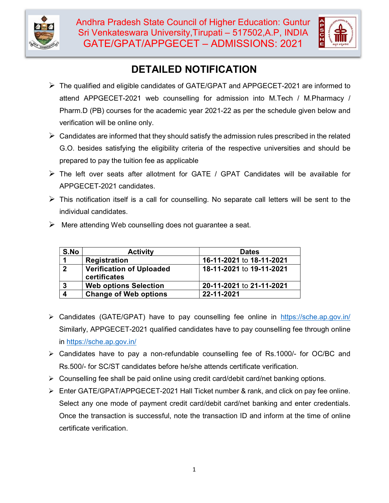



# DETAILED NOTIFICATION

- The qualified and eligible candidates of GATE/GPAT and APPGECET-2021 are informed to attend APPGECET-2021 web counselling for admission into M.Tech / M.Pharmacy / Pharm.D (PB) courses for the academic year 2021-22 as per the schedule given below and verification will be online only.
- $\triangleright$  Candidates are informed that they should satisfy the admission rules prescribed in the related G.O. besides satisfying the eligibility criteria of the respective universities and should be prepared to pay the tuition fee as applicable
- $\triangleright$  The left over seats after allotment for GATE / GPAT Candidates will be available for APPGECET-2021 candidates.
- $\triangleright$  This notification itself is a call for counselling. No separate call letters will be sent to the individual candidates.
- $\triangleright$  Mere attending Web counselling does not quarantee a seat.

| S.No | <b>Activity</b>                                 | <b>Dates</b>             |
|------|-------------------------------------------------|--------------------------|
|      | Registration                                    | 16-11-2021 to 18-11-2021 |
|      | <b>Verification of Uploaded</b><br>certificates | 18-11-2021 to 19-11-2021 |
|      | <b>Web options Selection</b>                    | 20-11-2021 to 21-11-2021 |
|      | <b>Change of Web options</b>                    | 22-11-2021               |

- Candidates (GATE/GPAT) have to pay counselling fee online in https://sche.ap.gov.in/ Similarly, APPGECET-2021 qualified candidates have to pay counselling fee through online in https://sche.ap.gov.in/
- Candidates have to pay a non-refundable counselling fee of Rs.1000/- for OC/BC and Rs.500/- for SC/ST candidates before he/she attends certificate verification.
- $\triangleright$  Counselling fee shall be paid online using credit card/debit card/net banking options.
- Enter GATE/GPAT/APPGECET-2021 Hall Ticket number & rank, and click on pay fee online. Select any one mode of payment credit card/debit card/net banking and enter credentials. Once the transaction is successful, note the transaction ID and inform at the time of online certificate verification.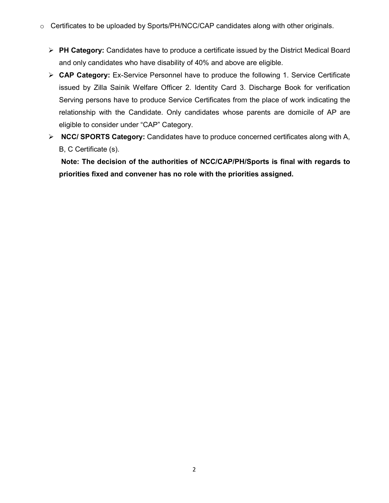- o Certificates to be uploaded by Sports/PH/NCC/CAP candidates along with other originals.
	- $\triangleright$  PH Category: Candidates have to produce a certificate issued by the District Medical Board and only candidates who have disability of 40% and above are eligible.
	- $\triangleright$  **CAP Category:** Ex-Service Personnel have to produce the following 1. Service Certificate issued by Zilla Sainik Welfare Officer 2. Identity Card 3. Discharge Book for verification Serving persons have to produce Service Certificates from the place of work indicating the relationship with the Candidate. Only candidates whose parents are domicile of AP are eligible to consider under "CAP" Category.
	- $\triangleright$  NCC/ SPORTS Category: Candidates have to produce concerned certificates along with A, B, C Certificate (s).

 Note: The decision of the authorities of NCC/CAP/PH/Sports is final with regards to priorities fixed and convener has no role with the priorities assigned.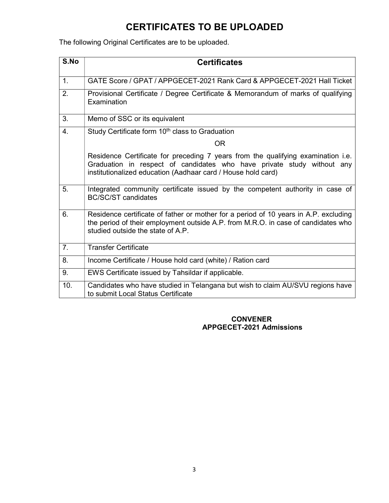## CERTIFICATES TO BE UPLOADED

The following Original Certificates are to be uploaded.

| S.No             | <b>Certificates</b>                                                                                                                                                                                                        |  |
|------------------|----------------------------------------------------------------------------------------------------------------------------------------------------------------------------------------------------------------------------|--|
| $\mathbf{1}$ .   | GATE Score / GPAT / APPGECET-2021 Rank Card & APPGECET-2021 Hall Ticket                                                                                                                                                    |  |
| 2.               | Provisional Certificate / Degree Certificate & Memorandum of marks of qualifying<br>Examination                                                                                                                            |  |
| 3.               | Memo of SSC or its equivalent                                                                                                                                                                                              |  |
| $\overline{4}$ . | Study Certificate form 10 <sup>th</sup> class to Graduation                                                                                                                                                                |  |
|                  | <b>OR</b>                                                                                                                                                                                                                  |  |
|                  | Residence Certificate for preceding 7 years from the qualifying examination i.e.<br>Graduation in respect of candidates who have private study without any<br>institutionalized education (Aadhaar card / House hold card) |  |
| 5.               | Integrated community certificate issued by the competent authority in case of<br><b>BC/SC/ST candidates</b>                                                                                                                |  |
| 6.               | Residence certificate of father or mother for a period of 10 years in A.P. excluding<br>the period of their employment outside A.P. from M.R.O. in case of candidates who<br>studied outside the state of A.P.             |  |
| 7 <sub>1</sub>   | <b>Transfer Certificate</b>                                                                                                                                                                                                |  |
| 8.               | Income Certificate / House hold card (white) / Ration card                                                                                                                                                                 |  |
| 9.               | EWS Certificate issued by Tahsildar if applicable.                                                                                                                                                                         |  |
| 10.              | Candidates who have studied in Telangana but wish to claim AU/SVU regions have<br>to submit Local Status Certificate                                                                                                       |  |

#### CONVENER APPGECET-2021 Admissions